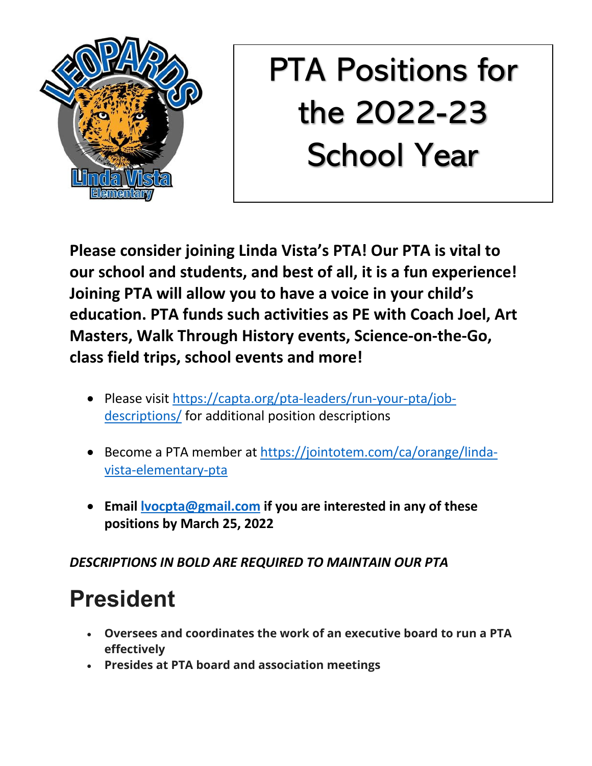

# PTA Positions for the 2022-23 School Year

**Please consider joining Linda Vista's PTA! Our PTA is vital to our school and students, and best of all, it is a fun experience! Joining PTA will allow you to have a voice in your child's education. PTA funds such activities as PE with Coach Joel, Art Masters, Walk Through History events, Science-on-the-Go, class field trips, school events and more!** 

- Please visit https://capta.org/pta-leaders/run-your-pta/jobdescriptions/ for additional position descriptions
- Become a PTA member at https://jointotem.com/ca/orange/lindavista-elementary-pta
- **Email lvocpta@gmail.com if you are interested in any of these positions by March 25, 2022**

#### *DESCRIPTIONS IN BOLD ARE REQUIRED TO MAINTAIN OUR PTA*

# **President**

- **Oversees and coordinates the work of an executive board to run a PTA effectively**
- **Presides at PTA board and association meetings**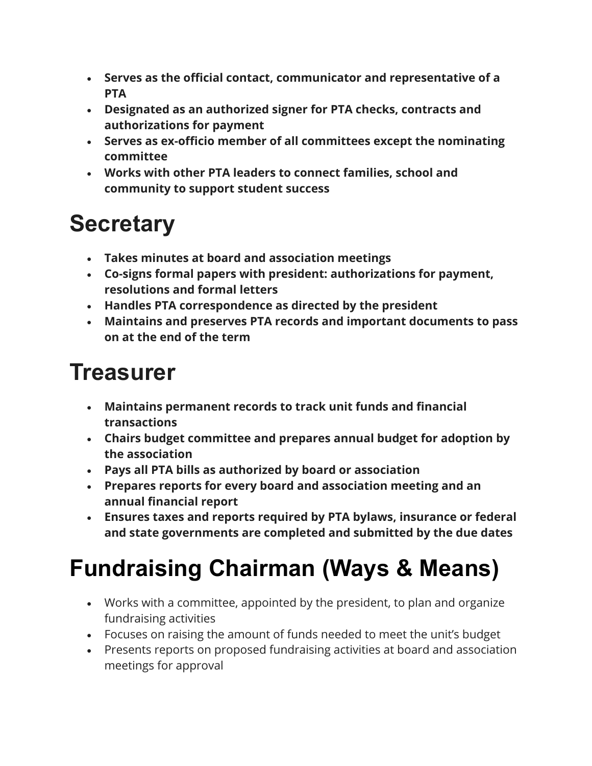- **Serves as the official contact, communicator and representative of a PTA**
- **Designated as an authorized signer for PTA checks, contracts and authorizations for payment**
- **Serves as ex-officio member of all committees except the nominating committee**
- **Works with other PTA leaders to connect families, school and community to support student success**

#### **Secretary**

- **Takes minutes at board and association meetings**
- **Co-signs formal papers with president: authorizations for payment, resolutions and formal letters**
- **Handles PTA correspondence as directed by the president**
- **Maintains and preserves PTA records and important documents to pass on at the end of the term**

#### **Treasurer**

- **Maintains permanent records to track unit funds and financial transactions**
- **Chairs budget committee and prepares annual budget for adoption by the association**
- **Pays all PTA bills as authorized by board or association**
- **Prepares reports for every board and association meeting and an annual financial report**
- **Ensures taxes and reports required by PTA bylaws, insurance or federal and state governments are completed and submitted by the due dates**

# **Fundraising Chairman (Ways & Means)**

- Works with a committee, appointed by the president, to plan and organize fundraising activities
- Focuses on raising the amount of funds needed to meet the unit's budget
- Presents reports on proposed fundraising activities at board and association meetings for approval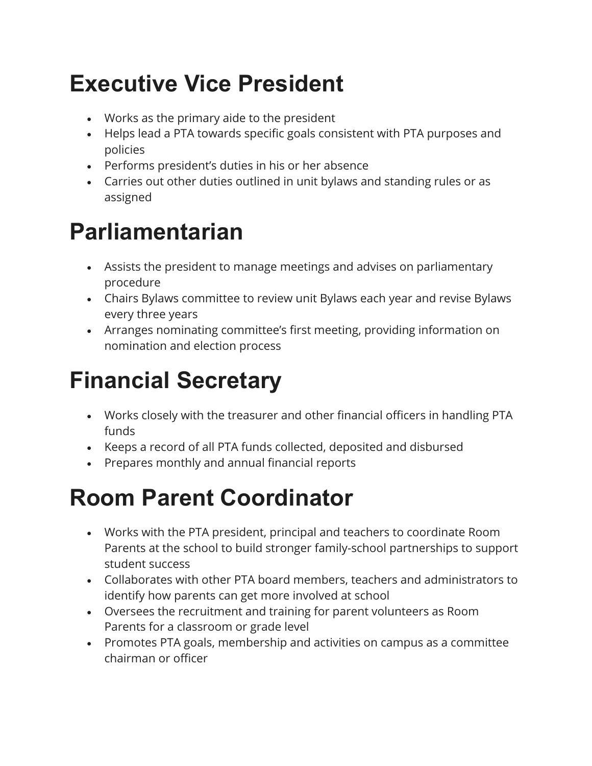#### **Executive Vice President**

- Works as the primary aide to the president
- Helps lead a PTA towards specific goals consistent with PTA purposes and policies
- Performs president's duties in his or her absence
- Carries out other duties outlined in unit bylaws and standing rules or as assigned

#### **Parliamentarian**

- Assists the president to manage meetings and advises on parliamentary procedure
- Chairs Bylaws committee to review unit Bylaws each year and revise Bylaws every three years
- Arranges nominating committee's first meeting, providing information on nomination and election process

# **Financial Secretary**

- Works closely with the treasurer and other financial officers in handling PTA funds
- Keeps a record of all PTA funds collected, deposited and disbursed
- Prepares monthly and annual financial reports

#### **Room Parent Coordinator**

- Works with the PTA president, principal and teachers to coordinate Room Parents at the school to build stronger family-school partnerships to support student success
- Collaborates with other PTA board members, teachers and administrators to identify how parents can get more involved at school
- Oversees the recruitment and training for parent volunteers as Room Parents for a classroom or grade level
- Promotes PTA goals, membership and activities on campus as a committee chairman or officer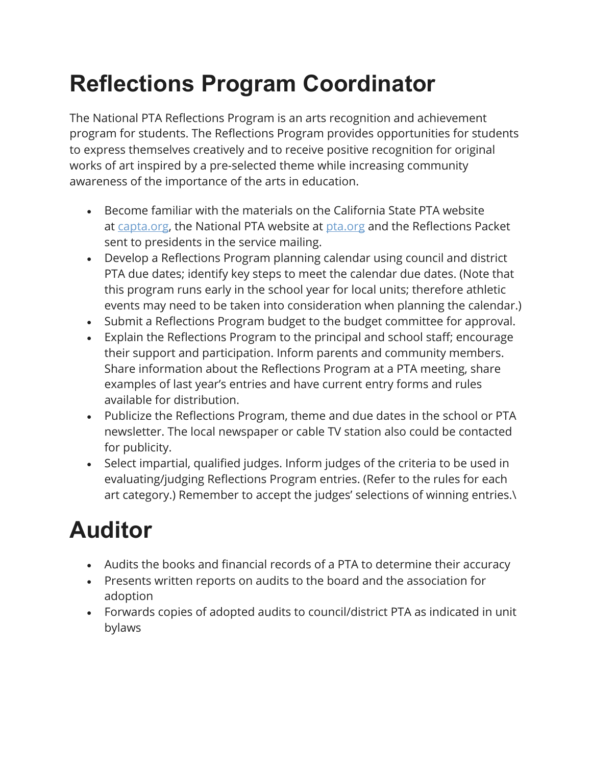# **Reflections Program Coordinator**

The National PTA Reflections Program is an arts recognition and achievement program for students. The Reflections Program provides opportunities for students to express themselves creatively and to receive positive recognition for original works of art inspired by a pre-selected theme while increasing community awareness of the importance of the arts in education.

- Become familiar with the materials on the California State PTA website at capta.org, the National PTA website at pta.org and the Reflections Packet sent to presidents in the service mailing.
- Develop a Reflections Program planning calendar using council and district PTA due dates; identify key steps to meet the calendar due dates. (Note that this program runs early in the school year for local units; therefore athletic events may need to be taken into consideration when planning the calendar.)
- Submit a Reflections Program budget to the budget committee for approval.
- Explain the Reflections Program to the principal and school staff; encourage their support and participation. Inform parents and community members. Share information about the Reflections Program at a PTA meeting, share examples of last year's entries and have current entry forms and rules available for distribution.
- Publicize the Reflections Program, theme and due dates in the school or PTA newsletter. The local newspaper or cable TV station also could be contacted for publicity.
- Select impartial, qualified judges. Inform judges of the criteria to be used in evaluating/judging Reflections Program entries. (Refer to the rules for each art category.) Remember to accept the judges' selections of winning entries.\

# **Auditor**

- Audits the books and financial records of a PTA to determine their accuracy
- Presents written reports on audits to the board and the association for adoption
- Forwards copies of adopted audits to council/district PTA as indicated in unit bylaws